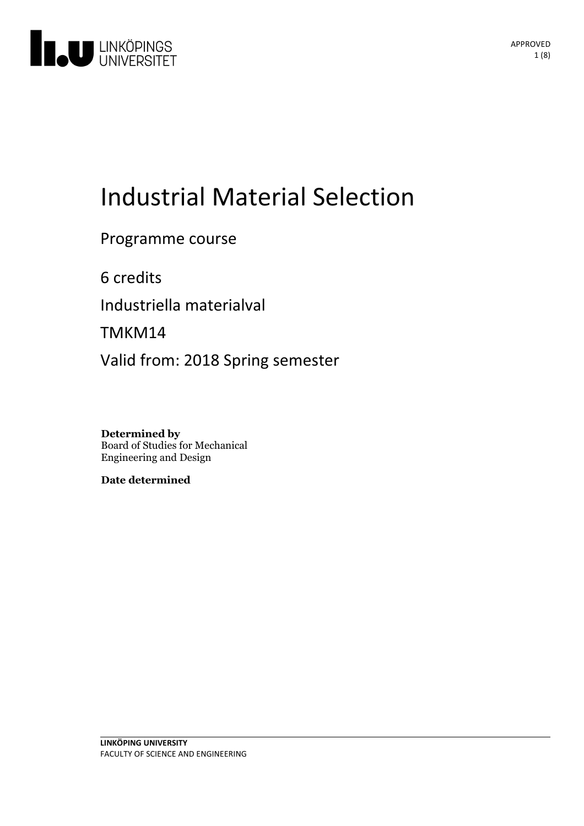

# **Industrial Material Selection**

Programme course

6 credits Industriella materialval TMKM14 Valid from: 2018 Spring semester

**Determined by** Board of Studies for Mechanical Engineering and Design

**Date determined**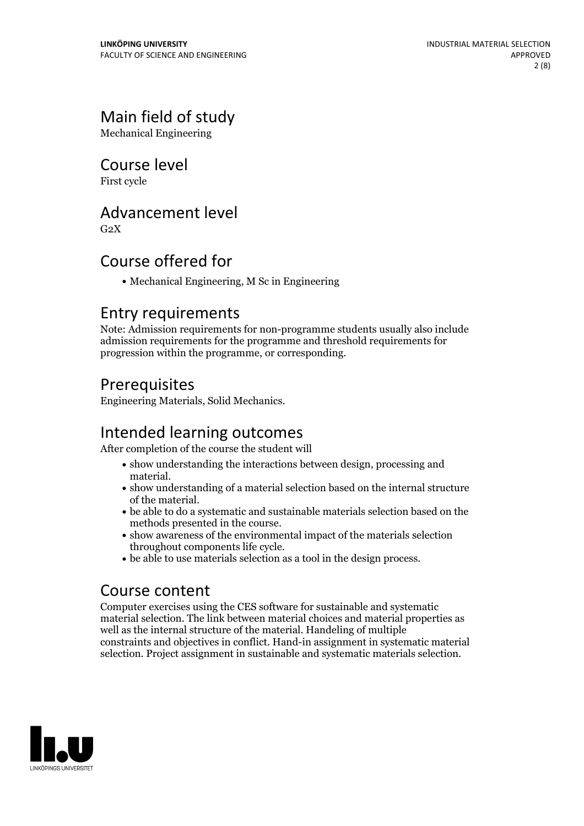# Main field of study

Mechanical Engineering

### Course level

First cycle

### Advancement level

 $G<sub>2</sub>X$ 

### Course offered for

Mechanical Engineering, M Sc in Engineering

#### Entry requirements

Note: Admission requirements for non-programme students usually also include admission requirements for the programme and threshold requirements for progression within the programme, or corresponding.

### Prerequisites

Engineering Materials, Solid Mechanics.

### Intended learning outcomes

After completion of the course the student will

- show understanding the interactions between design, processing and
- material. <br>  $\bullet$  show understanding of a material selection based on the internal structure of the material.
- $\bullet$  be able to do a systematic and sustainable materials selection based on the
- methods presented in the course.<br>• show awareness of the environmental impact of the materials selection<br>throughout components life cycle.
- $\bullet$  be able to use materials selection as a tool in the design process.

### Course content

Computer exercises using the CES software for sustainable and systematic material selection. The link between material choices and material properties as well as the internal structure of the material. Handeling of multiple constraints and objectives in conflict. Hand-in assignment in systematic material selection. Project assignment in sustainable and systematic materials selection.

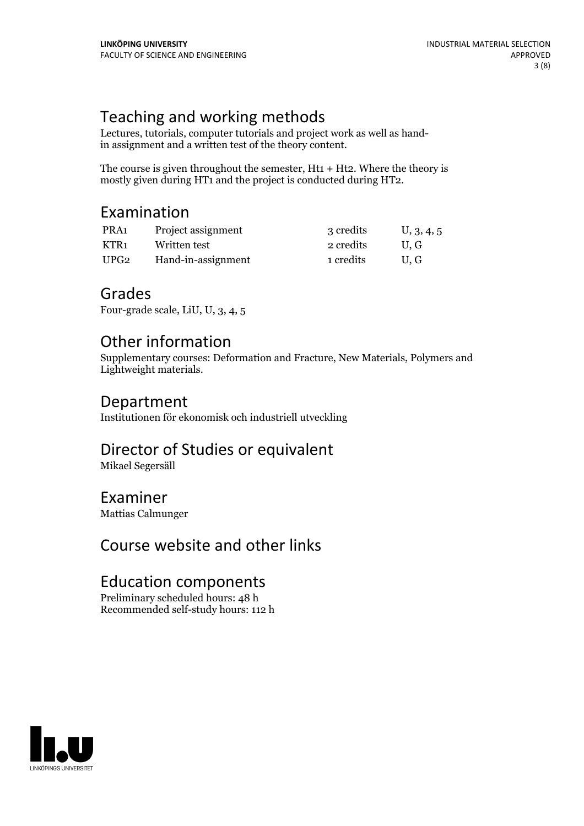# Teaching and working methods

Lectures, tutorials, computer tutorials and project work as well as handin assignment and a written test of the theory content.

The course is given throughout the semester,  $Ht_1 + Ht_2$ . Where the theory is mostly given during HT1 and the project is conducted during HT2.

### Examination

| PRA1 | Project assignment | 3 credits | U, 3, 4, 5 |
|------|--------------------|-----------|------------|
| KTR1 | Written test       | 2 credits | U.G        |
| UPG2 | Hand-in-assignment | 1 credits | U.G        |

#### Grades

Four-grade scale, LiU, U, 3, 4, 5

## Other information

Supplementary courses: Deformation and Fracture, New Materials, Polymers and Lightweight materials.

#### Department

Institutionen för ekonomisk och industriell utveckling

### Director of Studies or equivalent

Mikael Segersäll

# Examiner

Mattias Calmunger

# Course website and other links

### Education components

Preliminary scheduled hours: 48 h Recommended self-study hours: 112 h

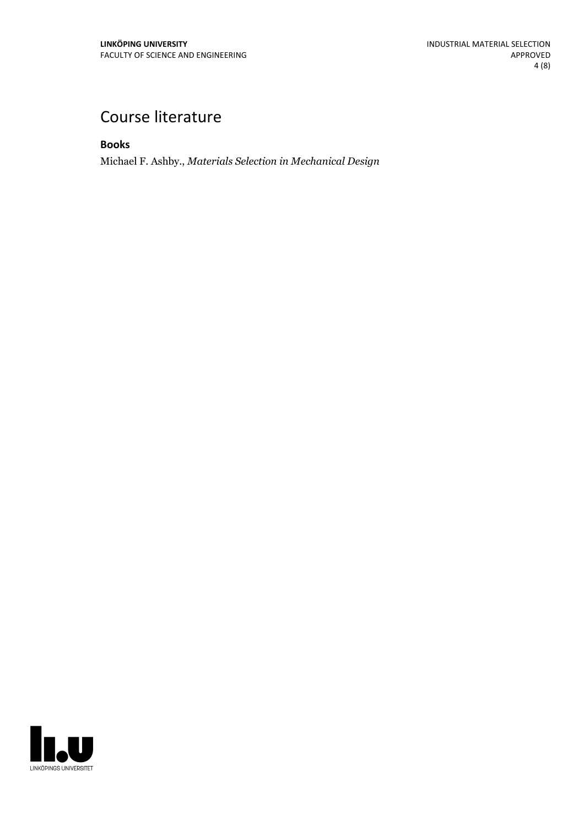# Course literature

**Books**

Michael F. Ashby., *Materials Selection in Mechanical Design*

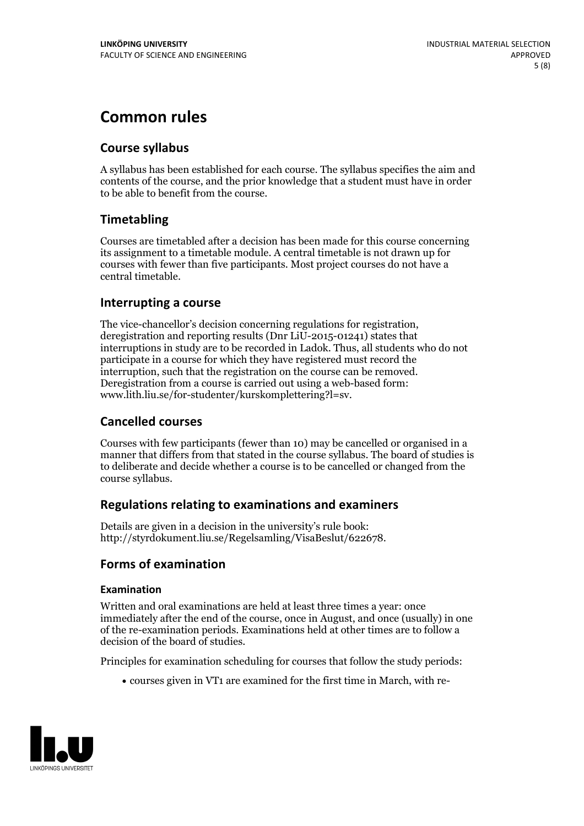# **Common rules**

#### **Course syllabus**

A syllabus has been established for each course. The syllabus specifies the aim and contents of the course, and the prior knowledge that a student must have in order to be able to benefit from the course.

#### **Timetabling**

Courses are timetabled after a decision has been made for this course concerning its assignment to a timetable module. A central timetable is not drawn up for courses with fewer than five participants. Most project courses do not have a central timetable.

#### **Interrupting a course**

The vice-chancellor's decision concerning regulations for registration, deregistration and reporting results (Dnr LiU-2015-01241) states that interruptions in study are to be recorded in Ladok. Thus, all students who do not participate in a course for which they have registered must record the interruption, such that the registration on the course can be removed. Deregistration from <sup>a</sup> course is carried outusing <sup>a</sup> web-based form: www.lith.liu.se/for-studenter/kurskomplettering?l=sv.

#### **Cancelled courses**

Courses with few participants (fewer than 10) may be cancelled or organised in a manner that differs from that stated in the course syllabus. The board of studies is to deliberate and decide whether a course is to be cancelled orchanged from the course syllabus.

#### **Regulations relatingto examinations and examiners**

Details are given in a decision in the university's rule book: http://styrdokument.liu.se/Regelsamling/VisaBeslut/622678.

#### **Forms of examination**

#### **Examination**

Written and oral examinations are held at least three times a year: once immediately after the end of the course, once in August, and once (usually) in one of the re-examination periods. Examinations held at other times are to follow a decision of the board of studies.

Principles for examination scheduling for courses that follow the study periods:

courses given in VT1 are examined for the first time in March, with re-

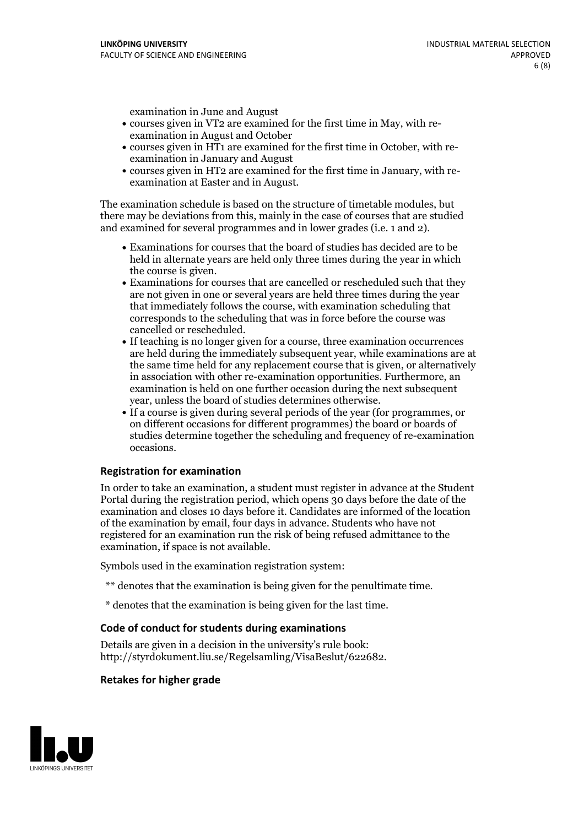examination in June and August

- courses given in VT2 are examined for the first time in May, with re-examination in August and October
- courses given in HT1 are examined for the first time in October, with re-examination in January and August
- courses given in HT2 are examined for the first time in January, with re-examination at Easter and in August.

The examination schedule is based on the structure of timetable modules, but there may be deviations from this, mainly in the case of courses that are studied and examined for several programmes and in lower grades (i.e. 1 and 2).

- Examinations for courses that the board of studies has decided are to be held in alternate years are held only three times during the year in which
- the course is given.<br>• Examinations for courses that are cancelled or rescheduled such that they are not given in one or several years are held three times during the year that immediately follows the course, with examination scheduling that corresponds to the scheduling that was in force before the course was cancelled or rescheduled.<br>• If teaching is no longer given for a course, three examination occurrences
- are held during the immediately subsequent year, while examinations are at the same time held for any replacement course that is given, or alternatively in association with other re-examination opportunities. Furthermore, an examination is held on one further occasion during the next subsequent year, unless the board of studies determines otherwise.<br>• If a course is given during several periods of the year (for programmes, or
- on different occasions for different programmes) the board orboards of studies determine together the scheduling and frequency of re-examination occasions.

#### **Registration for examination**

In order to take an examination, a student must register in advance at the Student Portal during the registration period, which opens 30 days before the date of the examination and closes 10 days before it. Candidates are informed of the location of the examination by email, four days in advance. Students who have not registered for an examination run the risk of being refused admittance to the examination, if space is not available.

Symbols used in the examination registration system:

- \*\* denotes that the examination is being given for the penultimate time.
- \* denotes that the examination is being given for the last time.

#### **Code of conduct for students during examinations**

Details are given in a decision in the university's rule book: http://styrdokument.liu.se/Regelsamling/VisaBeslut/622682.

#### **Retakes for higher grade**

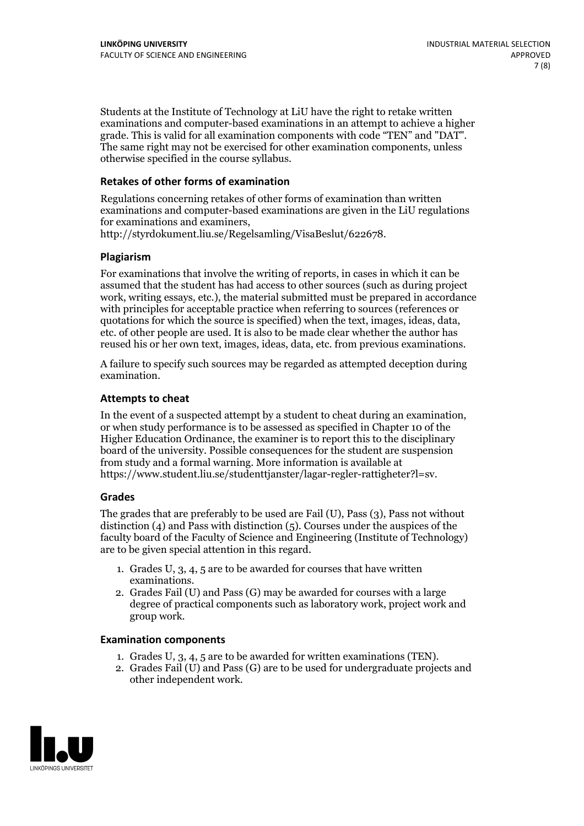Students at the Institute of Technology at LiU have the right to retake written examinations and computer-based examinations in an attempt to achieve a higher grade. This is valid for all examination components with code "TEN" and "DAT". The same right may not be exercised for other examination components, unless otherwise specified in the course syllabus.

#### **Retakes of other forms of examination**

Regulations concerning retakes of other forms of examination than written examinations and computer-based examinations are given in the LiU regulations for examinations and examiners, http://styrdokument.liu.se/Regelsamling/VisaBeslut/622678.

#### **Plagiarism**

For examinations that involve the writing of reports, in cases in which it can be assumed that the student has had access to other sources (such as during project work, writing essays, etc.), the material submitted must be prepared in accordance with principles for acceptable practice when referring to sources (references or quotations for which the source is specified) when the text, images, ideas, data, etc. of other people are used. It is also to be made clear whether the author has reused his or her own text, images, ideas, data, etc. from previous examinations.

A failure to specify such sources may be regarded as attempted deception during examination.

#### **Attempts to cheat**

In the event of <sup>a</sup> suspected attempt by <sup>a</sup> student to cheat during an examination, or when study performance is to be assessed as specified in Chapter <sup>10</sup> of the Higher Education Ordinance, the examiner is to report this to the disciplinary board of the university. Possible consequences for the student are suspension from study and a formal warning. More information is available at https://www.student.liu.se/studenttjanster/lagar-regler-rattigheter?l=sv.

#### **Grades**

The grades that are preferably to be used are Fail (U), Pass (3), Pass not without distinction  $(4)$  and Pass with distinction  $(5)$ . Courses under the auspices of the faculty board of the Faculty of Science and Engineering (Institute of Technology) are to be given special attention in this regard.

- 1. Grades U, 3, 4, 5 are to be awarded for courses that have written
- examinations. 2. Grades Fail (U) and Pass (G) may be awarded for courses with <sup>a</sup> large degree of practical components such as laboratory work, project work and group work.

#### **Examination components**

- 
- 1. Grades U, 3, 4, <sup>5</sup> are to be awarded for written examinations (TEN). 2. Grades Fail (U) and Pass (G) are to be used for undergraduate projects and other independent work.